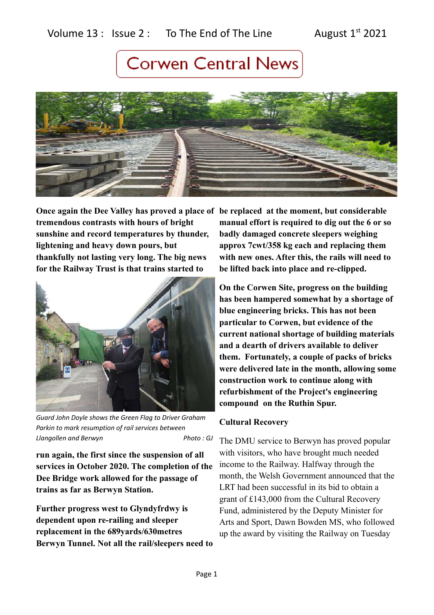### Volume 13 : Issue 2 : To The End of The Line August  $1^{st}$  2021

# **Corwen Central News**



**Once again the Dee Valley has proved a place of be replaced at the moment, but considerable tremendous contrasts with hours of bright sunshine and record temperatures by thunder, lightening and heavy down pours, but thankfully not lasting very long. The big news for the Railway Trust is that trains started to** 



*Guard John Doyle shows the Green Flag to Driver Graham Parkin to mark resumption of rail services between Llangollen and Berwyn* Photo : GJ

**run again, the first since the suspension of all services in October 2020. The completion of the Dee Bridge work allowed for the passage of trains as far as Berwyn Station.** 

**Further progress west to Glyndyfrdwy is dependent upon re-railing and sleeper replacement in the 689yards/630metres Berwyn Tunnel. Not all the rail/sleepers need to** **manual effort is required to dig out the 6 or so badly damaged concrete sleepers weighing approx 7cwt/358 kg each and replacing them with new ones. After this, the rails will need to be lifted back into place and re-clipped.**

**On the Corwen Site, progress on the building has been hampered somewhat by a shortage of blue engineering bricks. This has not been particular to Corwen, but evidence of the current national shortage of building materials and a dearth of drivers available to deliver them. Fortunately, a couple of packs of bricks were delivered late in the month, allowing some construction work to continue along with refurbishment of the Project's engineering compound on the Ruthin Spur.**

### **Cultural Recovery**

The DMU service to Berwyn has proved popular with visitors, who have brought much needed income to the Railway. Halfway through the month, the Welsh Government announced that the LRT had been successful in its bid to obtain a grant of £143,000 from the Cultural Recovery Fund, administered by the Deputy Minister for Arts and Sport, Dawn Bowden MS, who followed up the award by visiting the Railway on Tuesday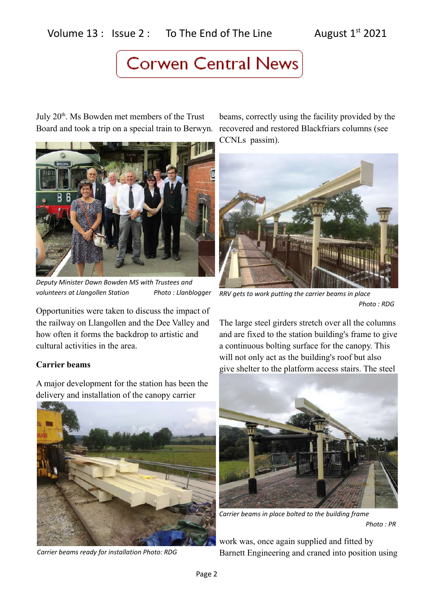### Volume  $13$  : Issue 2 : To The End of The Line August  $1^{st}$  2021

### **Corwen Central News**

July 20<sup>th</sup>. Ms Bowden met members of the Trust Board and took a trip on a special train to Berwyn.



*Deputy Minister Dawn Bowden MS with Trustees and volunteers at Llangollen Station Photo : Llanblogger*

Opportunities were taken to discuss the impact of the railway on Llangollen and the Dee Valley and how often it forms the backdrop to artistic and cultural activities in the area.

### **Carrier beams**

A major development for the station has been the delivery and installation of the canopy carrier



*Carrier beams ready for installation Photo: RDG*

beams, correctly using the facility provided by the recovered and restored Blackfriars columns (see CCNLs passim).



*RRV gets to work putting the carrier beams in place Photo : RDG*

The large steel girders stretch over all the columns and are fixed to the station building's frame to give a continuous bolting surface for the canopy. This will not only act as the building's roof but also give shelter to the platform access stairs. The steel



*Carrier beams in place bolted to the building frame Photo : PR*

work was, once again supplied and fitted by Barnett Engineering and craned into position using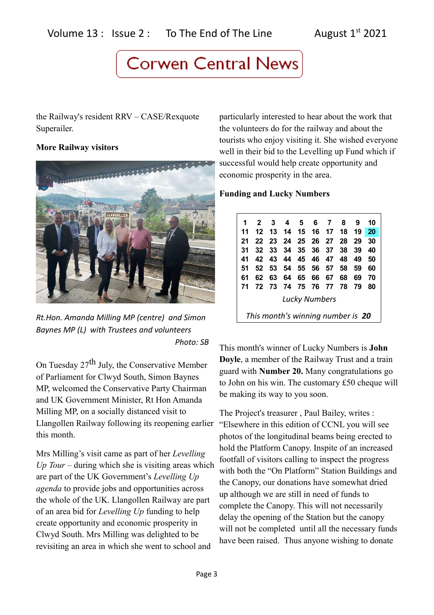## **Corwen Central News**

the Railway's resident RRV – CASE/Rexquote Superailer.

### **More Railway visitors**



*Rt.Hon. Amanda Milling MP (centre) and Simon Baynes MP (L) with Trustees and volunteers Photo: SB*

On Tuesday 27<sup>th</sup> July, the Conservative Member of Parliament for Clwyd South, Simon Baynes MP, welcomed the Conservative Party Chairman and UK Government Minister, Rt Hon Amanda Milling MP, on a socially distanced visit to Llangollen Railway following its reopening earlier this month.

Mrs Milling's visit came as part of her *Levelling Up Tour* – during which she is visiting areas which are part of the UK Government's *Levelling Up agenda* to provide jobs and opportunities across the whole of the UK. Llangollen Railway are part of an area bid for *Levelling Up* funding to help create opportunity and economic prosperity in Clwyd South. Mrs Milling was delighted to be revisiting an area in which she went to school and

particularly interested to hear about the work that the volunteers do for the railway and about the tourists who enjoy visiting it. She wished everyone well in their bid to the Levelling up Fund which if successful would help create opportunity and economic prosperity in the area.

### **Funding and Lucky Numbers**

| 1                                 |    | $2 \quad 3$ |    | 4567                 |          |  | -8 | 9    | 10 |
|-----------------------------------|----|-------------|----|----------------------|----------|--|----|------|----|
| 11                                | 12 |             |    | 13 14 15 16 17 18 19 |          |  |    |      | 20 |
| 21                                |    |             |    | 22 23 24 25 26 27 28 |          |  |    | - 29 | 30 |
| 31                                | 32 |             |    | 33 34 35 36 37 38    |          |  |    | 39   | 40 |
| 41                                |    |             |    | 42 43 44 45 46 47 48 |          |  |    | - 49 | 50 |
| 51                                | 52 |             |    | 53 54 55 56 57 58    |          |  |    | 59   | 60 |
| 61                                | 62 | 63          | 64 |                      | 65 66 67 |  | 68 | 69   | 70 |
| 71                                | 72 |             |    | 73 74 75 76 77 78    |          |  |    | - 79 | 80 |
| <b>Lucky Numbers</b>              |    |             |    |                      |          |  |    |      |    |
| This month's winning number is 20 |    |             |    |                      |          |  |    |      |    |

This month's winner of Lucky Numbers is **John Doyle**, a member of the Railway Trust and a train guard with **Number 20.** Many congratulations go to John on his win. The customary £50 cheque will be making its way to you soon.

The Project's treasurer , Paul Bailey, writes : "Elsewhere in this edition of CCNL you will see photos of the longitudinal beams being erected to hold the Platform Canopy. Inspite of an increased footfall of visitors calling to inspect the progress with both the "On Platform" Station Buildings and the Canopy, our donations have somewhat dried up although we are still in need of funds to complete the Canopy. This will not necessarily delay the opening of the Station but the canopy will not be completed until all the necessary funds have been raised. Thus anyone wishing to donate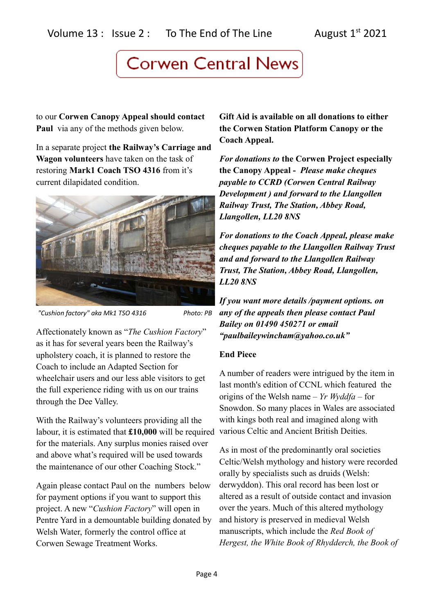# **Corwen Central News**

to our **Corwen Canopy Appeal should contact Paul** via any of the methods given below.

In a separate project **the Railway's Carriage and Wagon volunteers** have taken on the task of restoring **Mark1 Coach TSO 4316** from it's current dilapidated condition.



*"Cushion factory" aka Mk1 TSO 4316 Photo: PB*

Affectionately known as "*The Cushion Factory*" as it has for several years been the Railway's upholstery coach, it is planned to restore the Coach to include an Adapted Section for wheelchair users and our less able visitors to get the full experience riding with us on our trains through the Dee Valley.

With the Railway's volunteers providing all the labour, it is estimated that **£10,000** will be required for the materials. Any surplus monies raised over and above what's required will be used towards the maintenance of our other Coaching Stock."

Again please contact Paul on the numbers below for payment options if you want to support this project. A new "*Cushion Factory*" will open in Pentre Yard in a demountable building donated by Welsh Water, formerly the control office at Corwen Sewage Treatment Works.

**Gift Aid is available on all donations to either the Corwen Station Platform Canopy or the Coach Appeal.**

*For donations to* **the Corwen Project especially the Canopy Appeal -** *Please make cheques payable to CCRD (Corwen Central Railway Development ) and forward to the Llangollen Railway Trust, The Station, Abbey Road, Llangollen, LL20 8NS*

*For donations to the Coach Appeal, please make cheques payable to the Llangollen Railway Trust and and forward to the Llangollen Railway Trust, The Station, Abbey Road, Llangollen, LL20 8NS*

*If you want more details /payment options. on any of the appeals then please contact Paul Bailey on 01490 450271 or email "paulbaileywincham@yahoo.co.uk"*

### **End Piece**

A number of readers were intrigued by the item in last month's edition of CCNL which featured the origins of the Welsh name – *Yr Wyddfa* – for Snowdon. So many places in Wales are associated with kings both real and imagined along with various Celtic and Ancient British Deities.

As in most of the predominantly oral societies Celtic/Welsh mythology and history were recorded orally by specialists such as druids (Welsh: derwyddon). This oral record has been lost or altered as a result of outside contact and invasion over the years. Much of this altered mythology and history is preserved in medieval Welsh manuscripts, which include the *Red Book of Hergest, the White Book of Rhydderch, the Book of*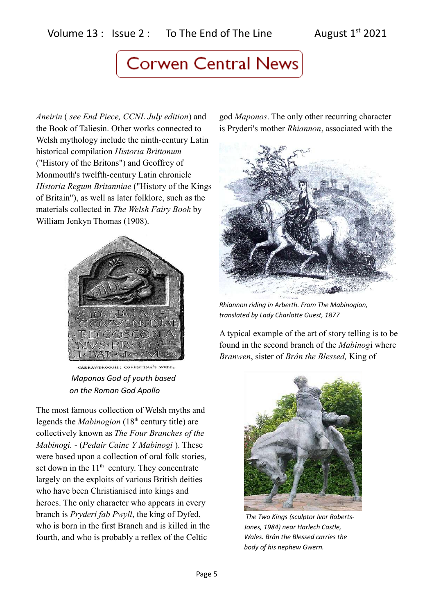### Volume  $13$  : Issue 2 : To The End of The Line August  $1^{st}$  2021

## **Corwen Central News**

*Aneirin* ( *see End Piece, CCNL July edition*) and the Book of Taliesin. Other works connected to Welsh mythology include the ninth-century Latin historical compilation *Historia Brittonum* ("History of the Britons") and Geoffrey of Monmouth's twelfth-century Latin chronicle *Historia Regum Britanniae* ("History of the Kings of Britain"), as well as later folklore, such as the materials collected in *The Welsh Fairy Book* by William Jenkyn Thomas (1908).



CARRAWDROOCH: COVENTINA'S WELL  *Maponos God of youth based on the Roman God Apollo*

The most famous collection of Welsh myths and legends the *Mabinogion* (18<sup>th</sup> century title) are collectively known as *The Four Branches of the Mabinogi.* - (*Pedair Cainc Y Mabinogi* ). These were based upon a collection of oral folk stories, set down in the  $11<sup>th</sup>$  century. They concentrate largely on the exploits of various British deities who have been Christianised into kings and heroes. The only character who appears in every branch is *Pryderi fab Pwyll*, the king of Dyfed, who is born in the first Branch and is killed in the fourth, and who is probably a reflex of the Celtic

god *Maponos*. The only other recurring character is Pryderi's mother *Rhiannon*, associated with the



*Rhiannon riding in Arberth. From The Mabinogion, translated by Lady Charlotte Guest, 1877*

A typical example of the art of story telling is to be found in the second branch of the *Mabinog*i where *Branwen*, sister of *Brân the Blessed,* King of



 *The Two Kings (sculptor Ivor Roberts-Jones, 1984) near Harlech Castle, Wales. Brân the Blessed carries the body of his nephew Gwern.*